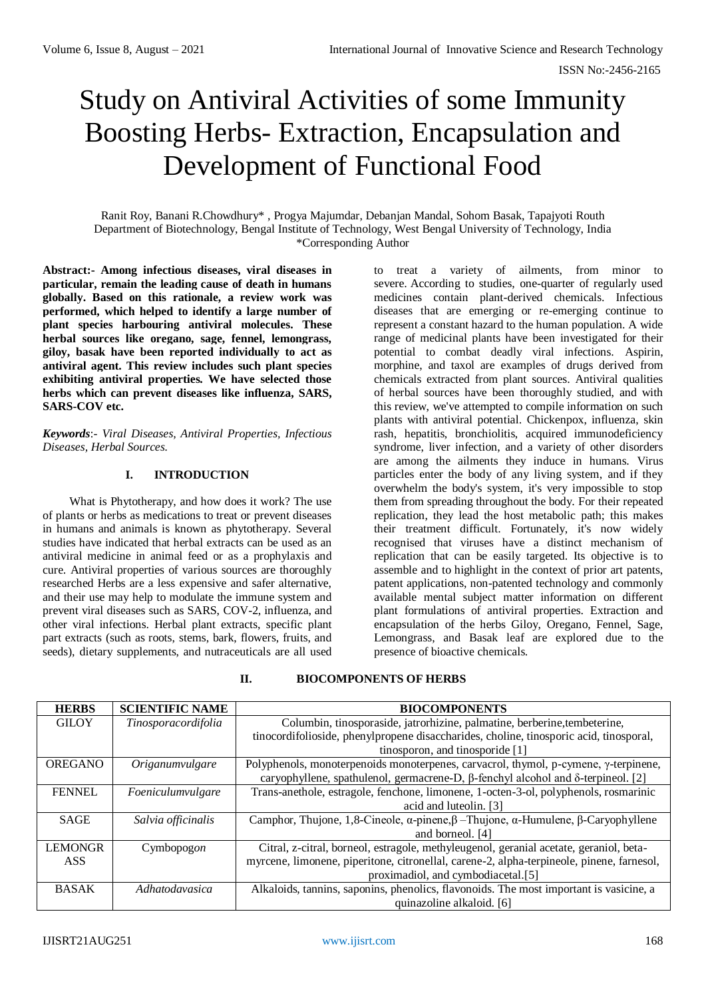# Study on Antiviral Activities of some Immunity Boosting Herbs- Extraction, Encapsulation and Development of Functional Food

Ranit Roy, Banani R.Chowdhury\* , Progya Majumdar, Debanjan Mandal, Sohom Basak, Tapajyoti Routh Department of Biotechnology, Bengal Institute of Technology, West Bengal University of Technology, India \*Corresponding Author

**Abstract:- Among infectious diseases, viral diseases in particular, remain the leading cause of death in humans globally. Based on this rationale, a review work was performed, which helped to identify a large number of plant species harbouring antiviral molecules. These herbal sources like oregano, sage, fennel, lemongrass, giloy, basak have been reported individually to act as antiviral agent. This review includes such plant species exhibiting antiviral properties. We have selected those herbs which can prevent diseases like influenza, SARS, SARS-COV etc.**

*Keywords*:- *Viral Diseases, Antiviral Properties, Infectious Diseases, Herbal Sources.*

# **I. INTRODUCTION**

What is Phytotherapy, and how does it work? The use of plants or herbs as medications to treat or prevent diseases in humans and animals is known as phytotherapy. Several studies have indicated that herbal extracts can be used as an antiviral medicine in animal feed or as a prophylaxis and cure. Antiviral properties of various sources are thoroughly researched Herbs are a less expensive and safer alternative, and their use may help to modulate the immune system and prevent viral diseases such as SARS, COV-2, influenza, and other viral infections. Herbal plant extracts, specific plant part extracts (such as roots, stems, bark, flowers, fruits, and seeds), dietary supplements, and nutraceuticals are all used

to treat a variety of ailments, from minor to severe. According to studies, one-quarter of regularly used medicines contain plant-derived chemicals. Infectious diseases that are emerging or re-emerging continue to represent a constant hazard to the human population. A wide range of medicinal plants have been investigated for their potential to combat deadly viral infections. Aspirin, morphine, and taxol are examples of drugs derived from chemicals extracted from plant sources. Antiviral qualities of herbal sources have been thoroughly studied, and with this review, we've attempted to compile information on such plants with antiviral potential. Chickenpox, influenza, skin rash, hepatitis, bronchiolitis, acquired immunodeficiency syndrome, liver infection, and a variety of other disorders are among the ailments they induce in humans. Virus particles enter the body of any living system, and if they overwhelm the body's system, it's very impossible to stop them from spreading throughout the body. For their repeated replication, they lead the host metabolic path; this makes their treatment difficult. Fortunately, it's now widely recognised that viruses have a distinct mechanism of replication that can be easily targeted. Its objective is to assemble and to highlight in the context of prior art patents, patent applications, non-patented technology and commonly available mental subject matter information on different plant formulations of antiviral properties. Extraction and encapsulation of the herbs Giloy, Oregano, Fennel, Sage, Lemongrass, and Basak leaf are explored due to the presence of bioactive chemicals.

| <b>HERBS</b>   | <b>SCIENTIFIC NAME</b> | <b>BIOCOMPONENTS</b>                                                                                          |  |
|----------------|------------------------|---------------------------------------------------------------------------------------------------------------|--|
| <b>GILOY</b>   | Tinosporacordifolia    | Columbin, tinosporaside, jatrorhizine, palmatine, berberine, tembeterine,                                     |  |
|                |                        | tinocordifolioside, phenylpropene disaccharides, choline, tinosporic acid, tinosporal,                        |  |
|                |                        | tinosporon, and tinosporide [1]                                                                               |  |
| <b>OREGANO</b> | <i>Origanumvulgare</i> | Polyphenols, monoterpenoids monoterpenes, carvacrol, thymol, p-cymene, $\gamma$ -terpinene,                   |  |
|                |                        | caryophyllene, spathulenol, germacrene-D, $\beta$ -fenchyl alcohol and $\delta$ -terpineol. [2]               |  |
| <b>FENNEL</b>  | Foeniculumvulgare      | Trans-anethole, estragole, fenchone, limonene, 1-octen-3-ol, polyphenols, rosmarinic                          |  |
|                |                        | acid and luteolin. [3]                                                                                        |  |
| <b>SAGE</b>    | Salvia officinalis     | Camphor, Thujone, 1,8-Cineole, $\alpha$ -pinene, $\beta$ –Thujone, $\alpha$ -Humulene, $\beta$ -Caryophyllene |  |
|                |                        | and borneol. [4]                                                                                              |  |
| <b>LEMONGR</b> | Cymbopogon             | Citral, z-citral, borneol, estragole, methyleugenol, geranial acetate, geraniol, beta-                        |  |
| <b>ASS</b>     |                        | myrcene, limonene, piperitone, citronellal, carene-2, alpha-terpineole, pinene, farnesol,                     |  |
|                |                        | proximadiol, and cymbodiacetal.[5]                                                                            |  |
| <b>BASAK</b>   | <i>Adhatodavasica</i>  | Alkaloids, tannins, saponins, phenolics, flavonoids. The most important is vasicine, a                        |  |
|                |                        | quinazoline alkaloid. [6]                                                                                     |  |

# **II. BIOCOMPONENTS OF HERBS**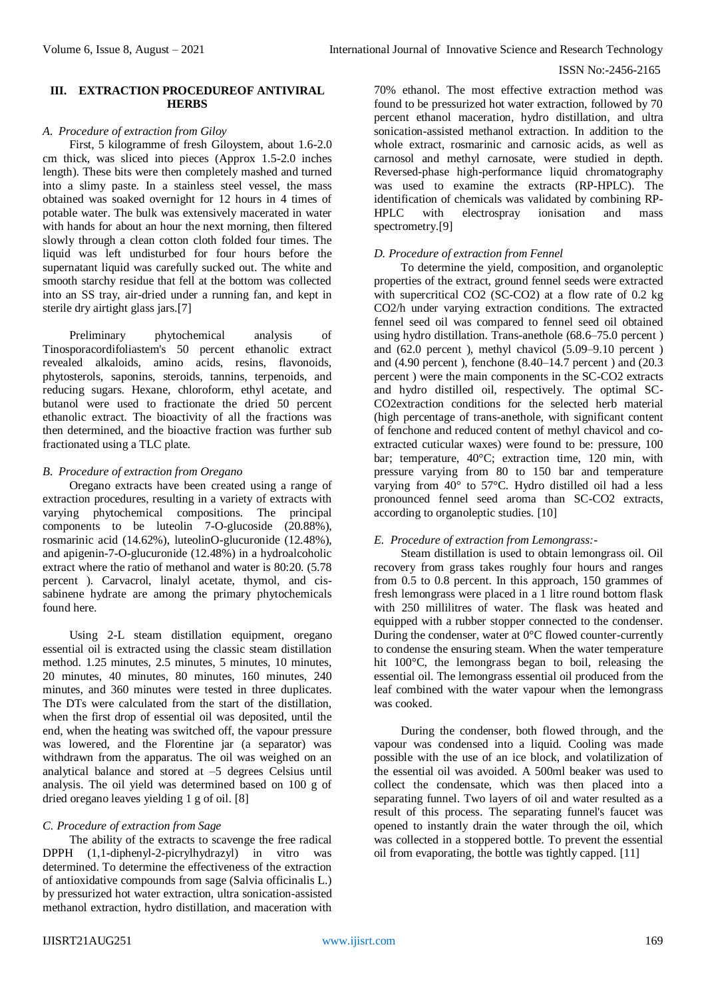#### **III. EXTRACTION PROCEDUREOF ANTIVIRAL HERBS**

#### *A. Procedure of extraction from Giloy*

First, 5 kilogramme of fresh Giloystem, about 1.6-2.0 cm thick, was sliced into pieces (Approx 1.5-2.0 inches length). These bits were then completely mashed and turned into a slimy paste. In a stainless steel vessel, the mass obtained was soaked overnight for 12 hours in 4 times of potable water. The bulk was extensively macerated in water with hands for about an hour the next morning, then filtered slowly through a clean cotton cloth folded four times. The liquid was left undisturbed for four hours before the supernatant liquid was carefully sucked out. The white and smooth starchy residue that fell at the bottom was collected into an SS tray, air-dried under a running fan, and kept in sterile dry airtight glass jars.[7]

Preliminary phytochemical analysis of Tinosporacordifoliastem's 50 percent ethanolic extract revealed alkaloids, amino acids, resins, flavonoids, phytosterols, saponins, steroids, tannins, terpenoids, and reducing sugars. Hexane, chloroform, ethyl acetate, and butanol were used to fractionate the dried 50 percent ethanolic extract. The bioactivity of all the fractions was then determined, and the bioactive fraction was further sub fractionated using a TLC plate.

# *B. Procedure of extraction from Oregano*

Oregano extracts have been created using a range of extraction procedures, resulting in a variety of extracts with varying phytochemical compositions. The principal components to be luteolin  $7$ -O-glucoside  $(20.88\%)$ , rosmarinic acid (14.62%), luteolinO-glucuronide (12.48%), and apigenin-7-O-glucuronide (12.48%) in a hydroalcoholic extract where the ratio of methanol and water is 80:20. (5.78 percent ). Carvacrol, linalyl acetate, thymol, and cissabinene hydrate are among the primary phytochemicals found here.

Using 2-L steam distillation equipment, oregano essential oil is extracted using the classic steam distillation method. 1.25 minutes, 2.5 minutes, 5 minutes, 10 minutes, 20 minutes, 40 minutes, 80 minutes, 160 minutes, 240 minutes, and 360 minutes were tested in three duplicates. The DTs were calculated from the start of the distillation, when the first drop of essential oil was deposited, until the end, when the heating was switched off, the vapour pressure was lowered, and the Florentine jar (a separator) was withdrawn from the apparatus. The oil was weighed on an analytical balance and stored at  $-5$  degrees Celsius until analysis. The oil yield was determined based on 100 g of dried oregano leaves yielding 1 g of oil. [8]

# *C. Procedure of extraction from Sage*

The ability of the extracts to scavenge the free radical DPPH (1,1-diphenyl-2-picrylhydrazyl) in vitro was determined. To determine the effectiveness of the extraction of antioxidative compounds from sage (Salvia officinalis L.) by pressurized hot water extraction, ultra sonication-assisted methanol extraction, hydro distillation, and maceration with

70% ethanol. The most effective extraction method was found to be pressurized hot water extraction, followed by 70 percent ethanol maceration, hydro distillation, and ultra sonication-assisted methanol extraction. In addition to the whole extract, rosmarinic and carnosic acids, as well as carnosol and methyl carnosate, were studied in depth. Reversed-phase high-performance liquid chromatography was used to examine the extracts (RP-HPLC). The identification of chemicals was validated by combining RP-HPLC with electrospray ionisation and mass spectrometry.[9]

# *D. Procedure of extraction from Fennel*

To determine the yield, composition, and organoleptic properties of the extract, ground fennel seeds were extracted with supercritical CO2 (SC-CO2) at a flow rate of 0.2 kg CO2/h under varying extraction conditions. The extracted fennel seed oil was compared to fennel seed oil obtained using hydro distillation. Trans-anethole (68.6–75.0 percent ) and (62.0 percent ), methyl chavicol (5.09–9.10 percent ) and (4.90 percent ), fenchone (8.40–14.7 percent ) and (20.3 percent ) were the main components in the SC-CO2 extracts and hydro distilled oil, respectively. The optimal SC-CO2extraction conditions for the selected herb material (high percentage of trans-anethole, with significant content of fenchone and reduced content of methyl chavicol and coextracted cuticular waxes) were found to be: pressure, 100 bar; temperature, 40°C; extraction time, 120 min, with pressure varying from 80 to 150 bar and temperature varying from 40° to 57°C. Hydro distilled oil had a less pronounced fennel seed aroma than SC-CO2 extracts, according to organoleptic studies. [10]

# *E. Procedure of extraction from Lemongrass:-*

Steam distillation is used to obtain lemongrass oil. Oil recovery from grass takes roughly four hours and ranges from 0.5 to 0.8 percent. In this approach, 150 grammes of fresh lemongrass were placed in a 1 litre round bottom flask with 250 millilitres of water. The flask was heated and equipped with a rubber stopper connected to the condenser. During the condenser, water at 0°C flowed counter-currently to condense the ensuring steam. When the water temperature hit 100°C, the lemongrass began to boil, releasing the essential oil. The lemongrass essential oil produced from the leaf combined with the water vapour when the lemongrass was cooked.

During the condenser, both flowed through, and the vapour was condensed into a liquid. Cooling was made possible with the use of an ice block, and volatilization of the essential oil was avoided. A 500ml beaker was used to collect the condensate, which was then placed into a separating funnel. Two layers of oil and water resulted as a result of this process. The separating funnel's faucet was opened to instantly drain the water through the oil, which was collected in a stoppered bottle. To prevent the essential oil from evaporating, the bottle was tightly capped. [11]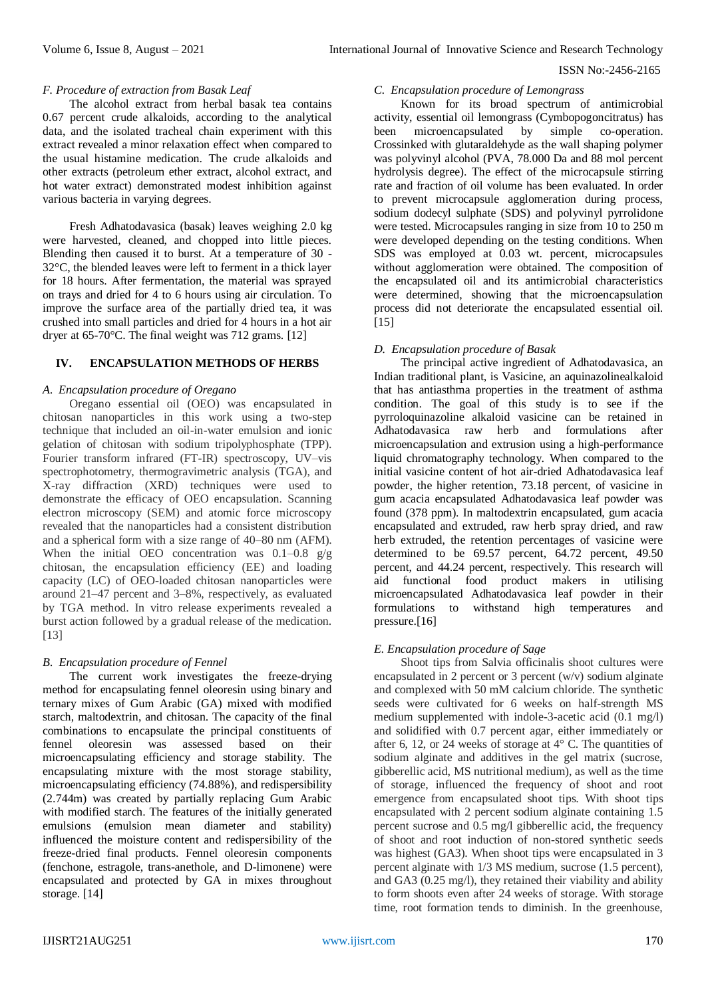#### *F. Procedure of extraction from Basak Leaf*

The alcohol extract from herbal basak tea contains 0.67 percent crude alkaloids, according to the analytical data, and the isolated tracheal chain experiment with this extract revealed a minor relaxation effect when compared to the usual histamine medication. The crude alkaloids and other extracts (petroleum ether extract, alcohol extract, and hot water extract) demonstrated modest inhibition against various bacteria in varying degrees.

Fresh Adhatodavasica (basak) leaves weighing 2.0 kg were harvested, cleaned, and chopped into little pieces. Blending then caused it to burst. At a temperature of 30 - 32°C, the blended leaves were left to ferment in a thick layer for 18 hours. After fermentation, the material was sprayed on trays and dried for 4 to 6 hours using air circulation. To improve the surface area of the partially dried tea, it was crushed into small particles and dried for 4 hours in a hot air dryer at 65-70°C. The final weight was 712 grams. [12]

# **IV. ENCAPSULATION METHODS OF HERBS**

#### *A. Encapsulation procedure of Oregano*

Oregano essential oil (OEO) was encapsulated in chitosan nanoparticles in this work using a two-step technique that included an oil-in-water emulsion and ionic gelation of chitosan with sodium tripolyphosphate (TPP). Fourier transform infrared (FT-IR) spectroscopy, UV–vis spectrophotometry, thermogravimetric analysis (TGA), and X-ray diffraction (XRD) techniques were used to demonstrate the efficacy of OEO encapsulation. Scanning electron microscopy (SEM) and atomic force microscopy revealed that the nanoparticles had a consistent distribution and a spherical form with a size range of 40–80 nm (AFM). When the initial OEO concentration was  $0.1-0.8$  g/g chitosan, the encapsulation efficiency (EE) and loading capacity (LC) of OEO-loaded chitosan nanoparticles were around 21–47 percent and 3–8%, respectively, as evaluated by TGA method. In vitro release experiments revealed a burst action followed by a gradual release of the medication. [13]

# *B. Encapsulation procedure of Fennel*

The current work investigates the freeze-drying method for encapsulating fennel oleoresin using binary and ternary mixes of Gum Arabic (GA) mixed with modified starch, maltodextrin, and chitosan. The capacity of the final combinations to encapsulate the principal constituents of fennel oleoresin was assessed based on their microencapsulating efficiency and storage stability. The encapsulating mixture with the most storage stability, microencapsulating efficiency (74.88%), and redispersibility (2.744m) was created by partially replacing Gum Arabic with modified starch. The features of the initially generated emulsions (emulsion mean diameter and stability) influenced the moisture content and redispersibility of the freeze-dried final products. Fennel oleoresin components (fenchone, estragole, trans-anethole, and D-limonene) were encapsulated and protected by GA in mixes throughout storage. [14]

#### *C. Encapsulation procedure of Lemongrass*

Known for its broad spectrum of antimicrobial activity, essential oil lemongrass (Cymbopogoncitratus) has been microencapsulated by simple co-operation. Crossinked with glutaraldehyde as the wall shaping polymer was polyvinyl alcohol (PVA, 78.000 Da and 88 mol percent hydrolysis degree). The effect of the microcapsule stirring rate and fraction of oil volume has been evaluated. In order to prevent microcapsule agglomeration during process, sodium dodecyl sulphate (SDS) and polyvinyl pyrrolidone were tested. Microcapsules ranging in size from 10 to 250 m were developed depending on the testing conditions. When SDS was employed at 0.03 wt. percent, microcapsules without agglomeration were obtained. The composition of the encapsulated oil and its antimicrobial characteristics were determined, showing that the microencapsulation process did not deteriorate the encapsulated essential oil. [15]

# *D. Encapsulation procedure of Basak*

The principal active ingredient of Adhatodavasica, an Indian traditional plant, is Vasicine, an aquinazolinealkaloid that has antiasthma properties in the treatment of asthma condition. The goal of this study is to see if the pyrroloquinazoline alkaloid vasicine can be retained in Adhatodavasica raw herb and formulations after microencapsulation and extrusion using a high-performance liquid chromatography technology. When compared to the initial vasicine content of hot air-dried Adhatodavasica leaf powder, the higher retention, 73.18 percent, of vasicine in gum acacia encapsulated Adhatodavasica leaf powder was found (378 ppm). In maltodextrin encapsulated, gum acacia encapsulated and extruded, raw herb spray dried, and raw herb extruded, the retention percentages of vasicine were determined to be 69.57 percent, 64.72 percent, 49.50 percent, and 44.24 percent, respectively. This research will aid functional food product makers in utilising microencapsulated Adhatodavasica leaf powder in their formulations to withstand high temperatures and pressure.[16]

# *E. Encapsulation procedure of Sage*

Shoot tips from Salvia officinalis shoot cultures were encapsulated in 2 percent or 3 percent (w/v) sodium alginate and complexed with 50 mM calcium chloride. The synthetic seeds were cultivated for 6 weeks on half-strength MS medium supplemented with indole-3-acetic acid (0.1 mg/l) and solidified with 0.7 percent agar, either immediately or after 6, 12, or 24 weeks of storage at  $4^{\circ}$  C. The quantities of sodium alginate and additives in the gel matrix (sucrose, gibberellic acid, MS nutritional medium), as well as the time of storage, influenced the frequency of shoot and root emergence from encapsulated shoot tips. With shoot tips encapsulated with 2 percent sodium alginate containing 1.5 percent sucrose and 0.5 mg/l gibberellic acid, the frequency of shoot and root induction of non-stored synthetic seeds was highest (GA3). When shoot tips were encapsulated in 3 percent alginate with 1/3 MS medium, sucrose (1.5 percent), and GA3 (0.25 mg/l), they retained their viability and ability to form shoots even after 24 weeks of storage. With storage time, root formation tends to diminish. In the greenhouse,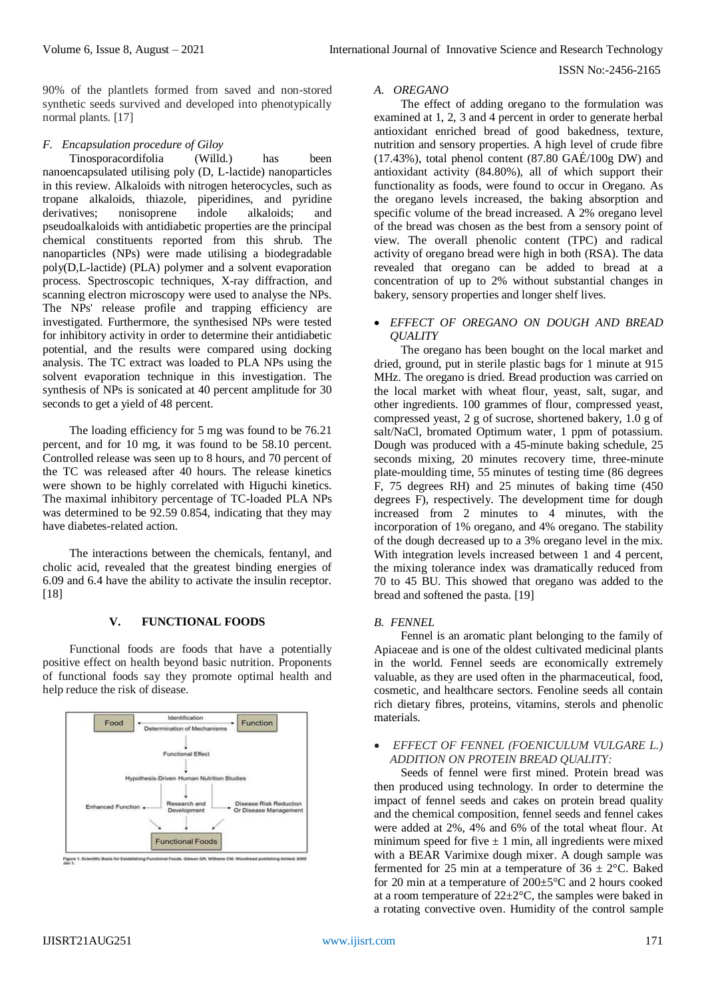90% of the plantlets formed from saved and non-stored synthetic seeds survived and developed into phenotypically normal plants. [17]

# *F. Encapsulation procedure of Giloy*

Tinosporacordifolia (Willd.) has been nanoencapsulated utilising poly (D, L-lactide) nanoparticles in this review. Alkaloids with nitrogen heterocycles, such as tropane alkaloids, thiazole, piperidines, and pyridine derivatives; nonisoprene indole alkaloids; and pseudoalkaloids with antidiabetic properties are the principal chemical constituents reported from this shrub. The nanoparticles (NPs) were made utilising a biodegradable poly(D,L-lactide) (PLA) polymer and a solvent evaporation process. Spectroscopic techniques, X-ray diffraction, and scanning electron microscopy were used to analyse the NPs. The NPs' release profile and trapping efficiency are investigated. Furthermore, the synthesised NPs were tested for inhibitory activity in order to determine their antidiabetic potential, and the results were compared using docking analysis. The TC extract was loaded to PLA NPs using the solvent evaporation technique in this investigation. The synthesis of NPs is sonicated at 40 percent amplitude for 30 seconds to get a yield of 48 percent.

The loading efficiency for 5 mg was found to be 76.21 percent, and for 10 mg, it was found to be 58.10 percent. Controlled release was seen up to 8 hours, and 70 percent of the TC was released after 40 hours. The release kinetics were shown to be highly correlated with Higuchi kinetics. The maximal inhibitory percentage of TC-loaded PLA NPs was determined to be 92.59 0.854, indicating that they may have diabetes-related action.

The interactions between the chemicals, fentanyl, and cholic acid, revealed that the greatest binding energies of 6.09 and 6.4 have the ability to activate the insulin receptor. [18]

# **V. FUNCTIONAL FOODS**

Functional foods are foods that have a potentially positive effect on health beyond basic nutrition. Proponents of functional foods say they promote optimal health and help reduce the risk of disease.



# *A. OREGANO*

The effect of adding oregano to the formulation was examined at 1, 2, 3 and 4 percent in order to generate herbal antioxidant enriched bread of good bakedness, texture, nutrition and sensory properties. A high level of crude fibre  $(17.43%)$ , total phenol content  $(87.80 \text{ GAÉ}/100 \text{g DW})$  and antioxidant activity (84.80%), all of which support their functionality as foods, were found to occur in Oregano. As the oregano levels increased, the baking absorption and specific volume of the bread increased. A 2% oregano level of the bread was chosen as the best from a sensory point of view. The overall phenolic content (TPC) and radical activity of oregano bread were high in both (RSA). The data revealed that oregano can be added to bread at a concentration of up to 2% without substantial changes in bakery, sensory properties and longer shelf lives.

## *EFFECT OF OREGANO ON DOUGH AND BREAD QUALITY*

The oregano has been bought on the local market and dried, ground, put in sterile plastic bags for 1 minute at 915 MHz. The oregano is dried. Bread production was carried on the local market with wheat flour, yeast, salt, sugar, and other ingredients. 100 grammes of flour, compressed yeast, compressed yeast, 2 g of sucrose, shortened bakery, 1.0 g of salt/NaCl, bromated Optimum water, 1 ppm of potassium. Dough was produced with a 45-minute baking schedule, 25 seconds mixing, 20 minutes recovery time, three-minute plate-moulding time, 55 minutes of testing time (86 degrees F, 75 degrees RH) and 25 minutes of baking time (450 degrees F), respectively. The development time for dough increased from 2 minutes to 4 minutes, with the incorporation of 1% oregano, and 4% oregano. The stability of the dough decreased up to a 3% oregano level in the mix. With integration levels increased between 1 and 4 percent, the mixing tolerance index was dramatically reduced from 70 to 45 BU. This showed that oregano was added to the bread and softened the pasta. [19]

# *B. FENNEL*

Fennel is an aromatic plant belonging to the family of Apiaceae and is one of the oldest cultivated medicinal plants in the world. Fennel seeds are economically extremely valuable, as they are used often in the pharmaceutical, food, cosmetic, and healthcare sectors. Fenoline seeds all contain rich dietary fibres, proteins, vitamins, sterols and phenolic materials.

# *EFFECT OF FENNEL (FOENICULUM VULGARE L.) ADDITION ON PROTEIN BREAD QUALITY:*

Seeds of fennel were first mined. Protein bread was then produced using technology. In order to determine the impact of fennel seeds and cakes on protein bread quality and the chemical composition, fennel seeds and fennel cakes were added at 2%, 4% and 6% of the total wheat flour. At minimum speed for five  $\pm$  1 min, all ingredients were mixed with a BEAR Varimixe dough mixer. A dough sample was fermented for 25 min at a temperature of  $36 \pm 2^{\circ}$ C. Baked for 20 min at a temperature of 200±5°C and 2 hours cooked at a room temperature of 22±2°C, the samples were baked in a rotating convective oven. Humidity of the control sample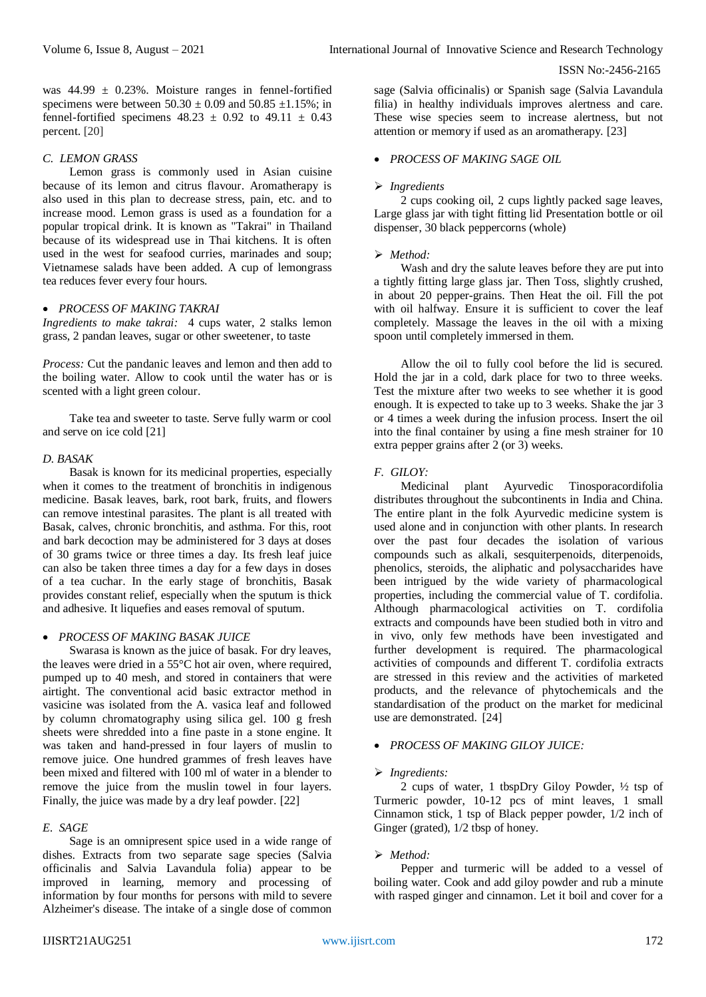was  $44.99 \pm 0.23\%$ . Moisture ranges in fennel-fortified specimens were between  $50.30 \pm 0.09$  and  $50.85 \pm 1.15$ %; in fennel-fortified specimens  $48.23 \pm 0.92$  to  $49.11 \pm 0.43$ percent. [20]

#### *C. LEMON GRASS*

Lemon grass is commonly used in Asian cuisine because of its lemon and citrus flavour. Aromatherapy is also used in this plan to decrease stress, pain, etc. and to increase mood. Lemon grass is used as a foundation for a popular tropical drink. It is known as "Takrai" in Thailand because of its widespread use in Thai kitchens. It is often used in the west for seafood curries, marinades and soup; Vietnamese salads have been added. A cup of lemongrass tea reduces fever every four hours.

#### *PROCESS OF MAKING TAKRAI*

*Ingredients to make takrai:* 4 cups water, 2 stalks lemon grass, 2 pandan leaves, sugar or other sweetener, to taste

*Process:* Cut the pandanic leaves and lemon and then add to the boiling water. Allow to cook until the water has or is scented with a light green colour.

Take tea and sweeter to taste. Serve fully warm or cool and serve on ice cold [21]

#### *D. BASAK*

Basak is known for its medicinal properties, especially when it comes to the treatment of bronchitis in indigenous medicine. Basak leaves, bark, root bark, fruits, and flowers can remove intestinal parasites. The plant is all treated with Basak, calves, chronic bronchitis, and asthma. For this, root and bark decoction may be administered for 3 days at doses of 30 grams twice or three times a day. Its fresh leaf juice can also be taken three times a day for a few days in doses of a tea cuchar. In the early stage of bronchitis, Basak provides constant relief, especially when the sputum is thick and adhesive. It liquefies and eases removal of sputum.

### *PROCESS OF MAKING BASAK JUICE*

Swarasa is known as the juice of basak. For dry leaves, the leaves were dried in a 55°C hot air oven, where required, pumped up to 40 mesh, and stored in containers that were airtight. The conventional acid basic extractor method in vasicine was isolated from the A. vasica leaf and followed by column chromatography using silica gel. 100 g fresh sheets were shredded into a fine paste in a stone engine. It was taken and hand-pressed in four layers of muslin to remove juice. One hundred grammes of fresh leaves have been mixed and filtered with 100 ml of water in a blender to remove the juice from the muslin towel in four layers. Finally, the juice was made by a dry leaf powder. [22]

# *E. SAGE*

Sage is an omnipresent spice used in a wide range of dishes. Extracts from two separate sage species (Salvia officinalis and Salvia Lavandula folia) appear to be improved in learning, memory and processing of information by four months for persons with mild to severe Alzheimer's disease. The intake of a single dose of common

sage (Salvia officinalis) or Spanish sage (Salvia Lavandula filia) in healthy individuals improves alertness and care. These wise species seem to increase alertness, but not attention or memory if used as an aromatherapy. [23]

# *PROCESS OF MAKING SAGE OIL*

#### *Ingredients*

2 cups cooking oil, 2 cups lightly packed sage leaves, Large glass jar with tight fitting lid Presentation bottle or oil dispenser, 30 black peppercorns (whole)

#### *Method:*

Wash and dry the salute leaves before they are put into a tightly fitting large glass jar. Then Toss, slightly crushed, in about 20 pepper-grains. Then Heat the oil. Fill the pot with oil halfway. Ensure it is sufficient to cover the leaf completely. Massage the leaves in the oil with a mixing spoon until completely immersed in them.

Allow the oil to fully cool before the lid is secured. Hold the jar in a cold, dark place for two to three weeks. Test the mixture after two weeks to see whether it is good enough. It is expected to take up to 3 weeks. Shake the jar 3 or 4 times a week during the infusion process. Insert the oil into the final container by using a fine mesh strainer for 10 extra pepper grains after 2 (or 3) weeks.

# *F. GILOY:*

Medicinal plant Ayurvedic Tinosporacordifolia distributes throughout the subcontinents in India and China. The entire plant in the folk Ayurvedic medicine system is used alone and in conjunction with other plants. In research over the past four decades the isolation of various compounds such as alkali, sesquiterpenoids, diterpenoids, phenolics, steroids, the aliphatic and polysaccharides have been intrigued by the wide variety of pharmacological properties, including the commercial value of T. cordifolia. Although pharmacological activities on T. cordifolia extracts and compounds have been studied both in vitro and in vivo, only few methods have been investigated and further development is required. The pharmacological activities of compounds and different T. cordifolia extracts are stressed in this review and the activities of marketed products, and the relevance of phytochemicals and the standardisation of the product on the market for medicinal use are demonstrated. [24]

# *PROCESS OF MAKING GILOY JUICE:*

#### *Ingredients:*

2 cups of water, 1 tbspDry Giloy Powder, ½ tsp of Turmeric powder, 10-12 pcs of mint leaves, 1 small Cinnamon stick, 1 tsp of Black pepper powder, 1/2 inch of Ginger (grated), 1/2 tbsp of honey.

# *Method:*

Pepper and turmeric will be added to a vessel of boiling water. Cook and add giloy powder and rub a minute with rasped ginger and cinnamon. Let it boil and cover for a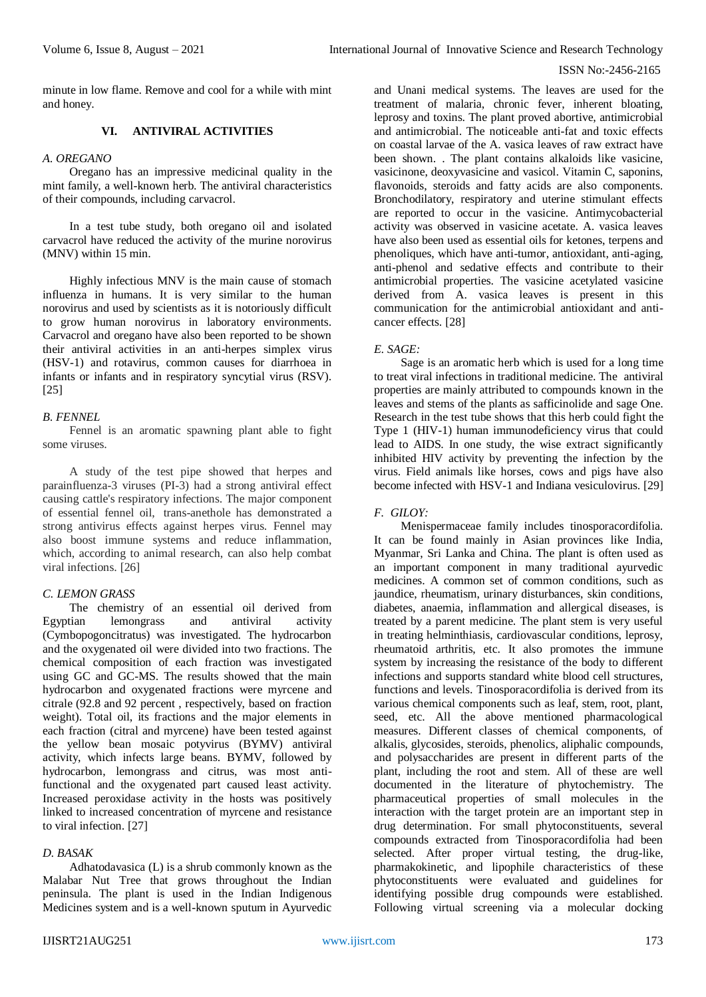minute in low flame. Remove and cool for a while with mint and honey.

# **VI. ANTIVIRAL ACTIVITIES**

# *A. OREGANO*

Oregano has an impressive medicinal quality in the mint family, a well-known herb. The antiviral characteristics of their compounds, including carvacrol.

In a test tube study, both oregano oil and isolated carvacrol have reduced the activity of the murine norovirus (MNV) within 15 min.

Highly infectious MNV is the main cause of stomach influenza in humans. It is very similar to the human norovirus and used by scientists as it is notoriously difficult to grow human norovirus in laboratory environments. Carvacrol and oregano have also been reported to be shown their antiviral activities in an anti-herpes simplex virus (HSV-1) and rotavirus, common causes for diarrhoea in infants or infants and in respiratory syncytial virus (RSV). [25]

# *B. FENNEL*

Fennel is an aromatic spawning plant able to fight some viruses.

A study of the test pipe showed that herpes and parainfluenza-3 viruses (PI-3) had a strong antiviral effect causing cattle's respiratory infections. The major component of essential fennel oil, trans-anethole has demonstrated a strong antivirus effects against herpes virus. Fennel may also boost immune systems and reduce inflammation, which, according to animal research, can also help combat viral infections. [26]

# *C. LEMON GRASS*

The chemistry of an essential oil derived from Egyptian lemongrass and antiviral activity (Cymbopogoncitratus) was investigated. The hydrocarbon and the oxygenated oil were divided into two fractions. The chemical composition of each fraction was investigated using GC and GC-MS. The results showed that the main hydrocarbon and oxygenated fractions were myrcene and citrale (92.8 and 92 percent , respectively, based on fraction weight). Total oil, its fractions and the major elements in each fraction (citral and myrcene) have been tested against the yellow bean mosaic potyvirus (BYMV) antiviral activity, which infects large beans. BYMV, followed by hydrocarbon, lemongrass and citrus, was most antifunctional and the oxygenated part caused least activity. Increased peroxidase activity in the hosts was positively linked to increased concentration of myrcene and resistance to viral infection. [27]

# *D. BASAK*

Adhatodavasica (L) is a shrub commonly known as the Malabar Nut Tree that grows throughout the Indian peninsula. The plant is used in the Indian Indigenous Medicines system and is a well-known sputum in Ayurvedic

and Unani medical systems. The leaves are used for the treatment of malaria, chronic fever, inherent bloating, leprosy and toxins. The plant proved abortive, antimicrobial and antimicrobial. The noticeable anti-fat and toxic effects on coastal larvae of the A. vasica leaves of raw extract have been shown. . The plant contains alkaloids like vasicine, vasicinone, deoxyvasicine and vasicol. Vitamin C, saponins, flavonoids, steroids and fatty acids are also components. Bronchodilatory, respiratory and uterine stimulant effects are reported to occur in the vasicine. Antimycobacterial activity was observed in vasicine acetate. A. vasica leaves have also been used as essential oils for ketones, terpens and phenoliques, which have anti-tumor, antioxidant, anti-aging, anti-phenol and sedative effects and contribute to their antimicrobial properties. The vasicine acetylated vasicine derived from A. vasica leaves is present in this communication for the antimicrobial antioxidant and anticancer effects. [28]

# *E. SAGE:*

Sage is an aromatic herb which is used for a long time to treat viral infections in traditional medicine. The antiviral properties are mainly attributed to compounds known in the leaves and stems of the plants as safficinolide and sage One. Research in the test tube shows that this herb could fight the Type 1 (HIV-1) human immunodeficiency virus that could lead to AIDS. In one study, the wise extract significantly inhibited HIV activity by preventing the infection by the virus. Field animals like horses, cows and pigs have also become infected with HSV-1 and Indiana vesiculovirus. [29]

# *F. GILOY:*

Menispermaceae family includes tinosporacordifolia. It can be found mainly in Asian provinces like India, Myanmar, Sri Lanka and China. The plant is often used as an important component in many traditional ayurvedic medicines. A common set of common conditions, such as jaundice, rheumatism, urinary disturbances, skin conditions, diabetes, anaemia, inflammation and allergical diseases, is treated by a parent medicine. The plant stem is very useful in treating helminthiasis, cardiovascular conditions, leprosy, rheumatoid arthritis, etc. It also promotes the immune system by increasing the resistance of the body to different infections and supports standard white blood cell structures, functions and levels. Tinosporacordifolia is derived from its various chemical components such as leaf, stem, root, plant, seed, etc. All the above mentioned pharmacological measures. Different classes of chemical components, of alkalis, glycosides, steroids, phenolics, aliphalic compounds, and polysaccharides are present in different parts of the plant, including the root and stem. All of these are well documented in the literature of phytochemistry. The pharmaceutical properties of small molecules in the interaction with the target protein are an important step in drug determination. For small phytoconstituents, several compounds extracted from Tinosporacordifolia had been selected. After proper virtual testing, the drug-like, pharmakokinetic, and lipophile characteristics of these phytoconstituents were evaluated and guidelines for identifying possible drug compounds were established. Following virtual screening via a molecular docking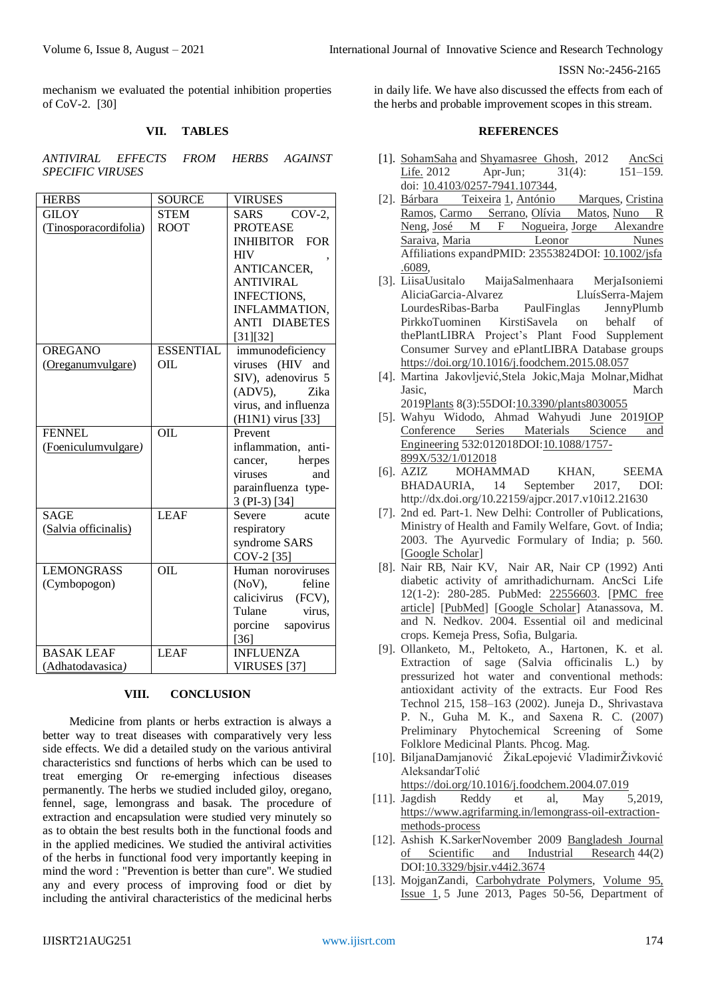mechanism we evaluated the potential inhibition properties of CoV-2. [30]

## **VII. TABLES**

*ANTIVIRAL EFFECTS FROM HERBS AGAINST SPECIFIC VIRUSES*

| <b>HERBS</b>          | <b>SOURCE</b>    | <b>VIRUSES</b>           |
|-----------------------|------------------|--------------------------|
| <b>GILOY</b>          | <b>STEM</b>      | $COV-2$ ,<br><b>SARS</b> |
| (Tinosporacordifolia) | <b>ROOT</b>      | <b>PROTEASE</b>          |
|                       |                  | <b>INHIBITOR FOR</b>     |
|                       |                  | <b>HIV</b>               |
|                       |                  | ANTICANCER,              |
|                       |                  | <b>ANTIVIRAL</b>         |
|                       |                  | INFECTIONS,              |
|                       |                  | <b>INFLAMMATION,</b>     |
|                       |                  | <b>ANTI DIABETES</b>     |
|                       |                  | [31][32]                 |
| <b>OREGANO</b>        | <b>ESSENTIAL</b> | immunodeficiency         |
| (Oreganumvulgare)     | OIL              | viruses (HIV and         |
|                       |                  | SIV), adenovirus 5       |
|                       |                  | $(ADV5)$ ,<br>Zika       |
|                       |                  | virus, and influenza     |
|                       |                  | (H1N1) virus [33]        |
| <b>FENNEL</b>         | OIL              | Prevent                  |
| (Foeniculumvulgare)   |                  | inflammation, anti-      |
|                       |                  | herpes<br>cancer,        |
|                       |                  | viruses<br>and           |
|                       |                  | parainfluenza type-      |
|                       |                  | 3 (PI-3) [34]            |
| <b>SAGE</b>           | <b>LEAF</b>      | Severe<br>acute          |
| (Salvia officinalis)  |                  | respiratory              |
|                       |                  | syndrome SARS            |
|                       |                  | COV-2 [35]               |
| <b>LEMONGRASS</b>     | <b>OIL</b>       | Human noroviruses        |
| (Cymbopogon)          |                  | feline<br>(NoV),         |
|                       |                  | calicivirus<br>(FCV),    |
|                       |                  | Tulane<br>virus,         |
|                       |                  | porcine sapovirus        |
|                       |                  | $[36]$                   |
| <b>BASAK LEAF</b>     | <b>LEAF</b>      | <b>INFLUENZA</b>         |
| (Adhatodavasica)      |                  | VIRUSES <sup>[37]</sup>  |

## **VIII. CONCLUSION**

Medicine from plants or herbs extraction is always a better way to treat diseases with comparatively very less side effects. We did a detailed study on the various antiviral characteristics snd functions of herbs which can be used to treat emerging Or re-emerging infectious diseases permanently. The herbs we studied included giloy, oregano, fennel, sage, lemongrass and basak. The procedure of extraction and encapsulation were studied very minutely so as to obtain the best results both in the functional foods and in the applied medicines. We studied the antiviral activities of the herbs in functional food very importantly keeping in mind the word : "Prevention is better than cure". We studied any and every process of improving food or diet by including the antiviral characteristics of the medicinal herbs

in daily life. We have also discussed the effects from each of the herbs and probable improvement scopes in this stream.

## **REFERENCES**

- [1]. [SohamSaha](https://www.ncbi.nlm.nih.gov/pubmed/?term=Saha%20S%5BAuthor%5D&cauthor=true&cauthor_uid=23661861) and [Shyamasree Ghosh,](https://www.ncbi.nlm.nih.gov/pubmed/?term=Ghosh%20S%5BAuthor%5D&cauthor=true&cauthor_uid=23661861) 2012 [AncSci](https://www.ncbi.nlm.nih.gov/pmc/articles/PMC3644751/)  [Life.](https://www.ncbi.nlm.nih.gov/pmc/articles/PMC3644751/) 2012 Apr-Jun; 31(4): 151–159. doi: [10.4103/0257-7941.107344,](https://dx.doi.org/10.4103%2F0257-7941.107344)
- [2]. [Bárbara Teixeira](https://pubmed.ncbi.nlm.nih.gov/?term=Teixeira+B&cauthor_id=23553824) [1,](https://pubmed.ncbi.nlm.nih.gov/23553824/#affiliation-1) [António Marques,](https://pubmed.ncbi.nlm.nih.gov/?term=Marques+A&cauthor_id=23553824) [Cristina](https://pubmed.ncbi.nlm.nih.gov/?term=Ramos+C&cauthor_id=23553824)  [Ramos,](https://pubmed.ncbi.nlm.nih.gov/?term=Ramos+C&cauthor_id=23553824) [Carmo Serrano,](https://pubmed.ncbi.nlm.nih.gov/?term=Serrano+C&cauthor_id=23553824) [Olívia Matos,](https://pubmed.ncbi.nlm.nih.gov/?term=Matos+O&cauthor_id=23553824) Nuno R<br>Neng, José M F Nogueira, Jorge Alexandre [Neng,](https://pubmed.ncbi.nlm.nih.gov/?term=Neng+NR&cauthor_id=23553824) [José M F Nogueira,](https://pubmed.ncbi.nlm.nih.gov/?term=Nogueira+JM&cauthor_id=23553824) Jorge [Saraiva,](https://pubmed.ncbi.nlm.nih.gov/?term=Saraiva+JA&cauthor_id=23553824) [Maria Leonor Nunes](https://pubmed.ncbi.nlm.nih.gov/?term=Nunes+ML&cauthor_id=23553824) Affiliations expandPMID: 23553824DOI: [10.1002/jsfa](https://doi.org/10.1002/jsfa.6089) [.6089,](https://doi.org/10.1002/jsfa.6089)
- [3]. [LiisaUusitalo](https://www.sciencedirect.com/science/article/abs/pii/S0308814615012558#!) [MaijaSalmenhaara](https://www.sciencedirect.com/science/article/abs/pii/S0308814615012558#!) [MerjaIsoniemi](https://www.sciencedirect.com/science/article/abs/pii/S0308814615012558#!) [AliciaGarcia-Alvarez](https://www.sciencedirect.com/science/article/abs/pii/S0308814615012558#!) [LluísSerra-Majem](https://www.sciencedirect.com/science/article/abs/pii/S0308814615012558#!) [LourdesRibas-Barba](https://www.sciencedirect.com/science/article/abs/pii/S0308814615012558#!) [PaulFinglas](https://www.sciencedirect.com/science/article/abs/pii/S0308814615012558#!) [JennyPlumb](https://www.sciencedirect.com/science/article/abs/pii/S0308814615012558#!) [PirkkoTuominen](https://www.sciencedirect.com/science/article/abs/pii/S0308814615012558#!) [KirstiSavela](https://www.sciencedirect.com/science/article/abs/pii/S0308814615012558#!) on behalf of th[ePlantLIBRA Project's Plant Food Supplement](https://www.sciencedirect.com/science/article/abs/pii/S0308814615012558#!)  [Consumer Survey](https://www.sciencedirect.com/science/article/abs/pii/S0308814615012558#!) and [ePlantLIBRA Database](https://www.sciencedirect.com/science/article/abs/pii/S0308814615012558#!) groups <https://doi.org/10.1016/j.foodchem.2015.08.057>
- [4]. [Martina Jakovljević,](https://www.researchgate.net/profile/Martina-Jakovljevic-2)Stela Jokic,Maja Molnar,Midhat Jasic, March 201[9Plants](https://www.researchgate.net/journal/Plants-2223-7747) 8(3):55DOI[:10.3390/plants8030055](http://dx.doi.org/10.3390/plants8030055)
- [5]. [Wahyu Widodo,](https://www.researchgate.net/profile/Wahyu-Widodo-8) Ahmad Wahyudi June 201[9IOP](https://www.researchgate.net/journal/IOP-Conference-Series-Materials-Science-and-Engineering-1757-899X) [Conference](https://www.researchgate.net/journal/IOP-Conference-Series-Materials-Science-and-Engineering-1757-899X) Series Materials Science and [Engineering](https://www.researchgate.net/journal/IOP-Conference-Series-Materials-Science-and-Engineering-1757-899X) 532:012018DO[I:10.1088/1757-](http://dx.doi.org/10.1088/1757-899X/532/1/012018) [899X/532/1/012018](http://dx.doi.org/10.1088/1757-899X/532/1/012018)
- [6]. AZIZ MOHAMMAD KHAN, SEEMA BHADAURIA, 14 September 2017, DOI: http://dx.doi.org/10.22159/ajpcr.2017.v10i12.21630
- [7]. 2nd ed. Part-1. New Delhi: Controller of Publications, Ministry of Health and Family Welfare, Govt. of India; 2003. The Ayurvedic Formulary of India; p. 560. [\[Google Scholar\]](https://scholar.google.com/scholar?q=The+Ayurvedic+Formulary+of+India+2003+2nd+ed+Part-1+New+Delhi+Controller+of+Publications,+Ministry+of+Health+and+Family+Welfare,+Govt.+of+India+560+)
- [8]. Nair RB, Nair KV, Nair AR, Nair CP (1992) Anti diabetic activity of amrithadichurnam. AncSci Life 12(1-2): 280-285. PubMed: [22556603.](http://www.ncbi.nlm.nih.gov/pubmed/22556603) [\[PMC free](https://www.ncbi.nlm.nih.gov/pmc/articles/PMC3336617/)  [article\]](https://www.ncbi.nlm.nih.gov/pmc/articles/PMC3336617/) [\[PubMed\]](https://www.ncbi.nlm.nih.gov/pubmed/22556603) [\[Google Scholar\]](https://scholar.google.com/scholar_lookup?journal=Anc+Sci+Life&title=Anti+diabetic+activity+of+amrithadi+churnam&author=RB+Nair&author=KV+Nair&author=AR+Nair&author=CP+Nair&volume=12&publication_year=1992&pages=280-285&pmid=22556603&) Atanassova, M. and N. Nedkov. 2004. Essential oil and medicinal crops. Kemeja Press, Sofia, Bulgaria.
- [9]. Ollanketo, M., Peltoketo, A., Hartonen, K. et al. Extraction of sage (Salvia officinalis L.) by pressurized hot water and conventional methods: antioxidant activity of the extracts. Eur Food Res Technol 215, 158–163 (2002). Juneja D., Shrivastava P. N., Guha M. K., and Saxena R. C. (2007) Preliminary Phytochemical Screening of Some Folklore Medicinal Plants. Phcog. Mag.
- [10]. [BiljanaDamjanović ŽikaLepojević](https://www.sciencedirect.com/science/article/abs/pii/S0308814604005679#!) [VladimirŽivković](https://www.sciencedirect.com/science/article/abs/pii/S0308814604005679#!) [AleksandarTolić](https://www.sciencedirect.com/science/article/abs/pii/S0308814604005679#!)
	- <https://doi.org/10.1016/j.foodchem.2004.07.019>
- [11]. Jagdish Reddy et al, May 5,2019, [https://www.agrifarming.in/lemongrass-oil-extraction](https://www.agrifarming.in/lemongrass-oil-extraction-methods-process)[methods-process](https://www.agrifarming.in/lemongrass-oil-extraction-methods-process)
- [12]. Ashish K.SarkerNovember 2009 [Bangladesh](https://www.researchgate.net/journal/Bangladesh-Journal-of-Scientific-and-Industrial-Research-0304-9809) Journal of [Scientific](https://www.researchgate.net/journal/Bangladesh-Journal-of-Scientific-and-Industrial-Research-0304-9809) and Industrial Research 44(2) DOI[:10.3329/bjsir.v44i2.3674](http://dx.doi.org/10.3329/bjsir.v44i2.3674)
- [13]. MojganZandi, [Carbohydrate Polymers,](https://www.sciencedirect.com/science/journal/01448617) [Volume 95,](https://www.sciencedirect.com/science/journal/01448617/95/1)  [Issue 1,](https://www.sciencedirect.com/science/journal/01448617/95/1) 5 June 2013, Pages 50-56, Department of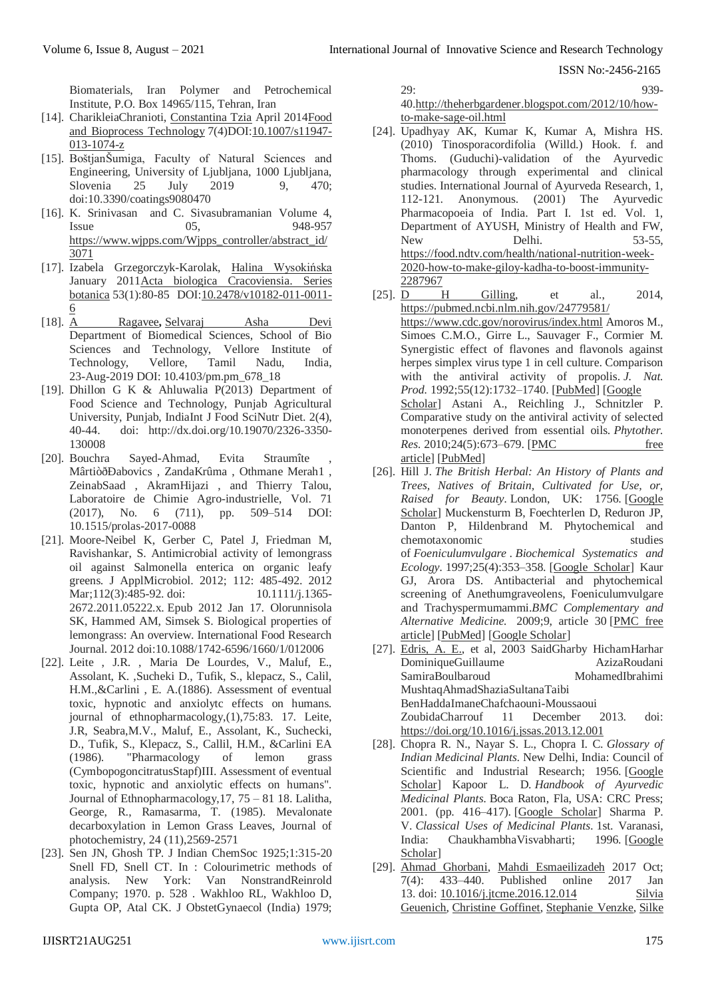Biomaterials, Iran Polymer and Petrochemical Institute, P.O. Box 14965/115, Tehran, Iran

- [14]. CharikleiaChranioti, [Constantina](https://www.researchgate.net/profile/Constantina-Tzia) Tzia April 201[4Food](https://www.researchgate.net/journal/Food-and-Bioprocess-Technology-1935-5149) and Bioprocess [Technology](https://www.researchgate.net/journal/Food-and-Bioprocess-Technology-1935-5149) 7(4)DOI[:10.1007/s11947-](http://dx.doi.org/10.1007/s11947-013-1074-z) [013-1074-z](http://dx.doi.org/10.1007/s11947-013-1074-z)
- [15]. BoštjanŠumiga, Faculty of Natural Sciences and Engineering, University of Ljubljana, 1000 Ljubljana, Slovenia 25 July 2019 9, 470; doi:10.3390/coatings9080470
- [16]. K. Srinivasan and C. Sivasubramanian Volume 4, Issue 05, 948-957 [https://www.wjpps.com/Wjpps\\_controller/abstract\\_id/](https://www.wjpps.com/Wjpps_controller/abstract_id/3071) [3071](https://www.wjpps.com/Wjpps_controller/abstract_id/3071)
- [17]. Izabela Grzegorczyk-Karolak, Halina [Wysokińska](https://www.researchgate.net/profile/Halina-Wysokinska) January 2011Acta biologica [Cracoviensia.](https://www.researchgate.net/journal/Acta-biologica-Cracoviensia-Series-botanica-1898-0295) Series [botanica](https://www.researchgate.net/journal/Acta-biologica-Cracoviensia-Series-botanica-1898-0295) 53(1):80-85 DO[I:10.2478/v10182-011-0011-](http://dx.doi.org/10.2478/v10182-011-0011-6) [6](http://dx.doi.org/10.2478/v10182-011-0011-6)
- [18]. [A Ragavee](https://www.phcog.com/searchresult.asp?search=&author=A+Ragavee&journal=Y&but_search=Search&entries=10&pg=1&s=0)**,** [Selvaraj Asha Devi](https://www.phcog.com/searchresult.asp?search=&author=Selvaraj+Asha+Devi&journal=Y&but_search=Search&entries=10&pg=1&s=0) Department of Biomedical Sciences, School of Bio Sciences and Technology, Vellore Institute of Technology, Vellore, Tamil Nadu, India, 23-Aug-2019 DOI: 10.4103/pm.pm\_678\_18
- [19]. Dhillon G K & Ahluwalia P(2013) Department of Food Science and Technology, Punjab Agricultural University, Punjab, IndiaInt J Food SciNutr Diet. 2(4), 40-44. doi: http://dx.doi.org/10.19070/2326-3350- 130008
- [20]. Bouchra Sayed-Ahmad, Evita Straumîte MârtiòðÐabovics , ZandaKrûma , Othmane Merah1 , ZeinabSaad , AkramHijazi , and Thierry Talou, Laboratoire de Chimie Agro-industrielle, Vol. 71 (2017), No. 6 (711), pp. 509–514 DOI: 10.1515/prolas-2017-0088
- [21]. Moore-Neibel K, Gerber C, Patel J, Friedman M, Ravishankar, S. Antimicrobial activity of lemongrass oil against Salmonella enterica on organic leafy greens. J ApplMicrobiol. 2012; 112: 485-492. 2012 Mar;112(3):485-92. doi: 10.1111/j.1365-2672.2011.05222.x. Epub 2012 Jan 17. Olorunnisola SK, Hammed AM, Simsek S. Biological properties of lemongrass: An overview. International Food Research Journal. 2012 doi:10.1088/1742-6596/1660/1/012006
- [22]. Leite , J.R. , Maria De Lourdes, V., Maluf, E., Assolant, K. ,Sucheki D., Tufik, S., klepacz, S., Calil, H.M.,&Carlini , E. A.(1886). Assessment of eventual toxic, hypnotic and anxiolytc effects on humans. journal of ethnopharmacology,(1),75:83. 17. Leite, J.R, Seabra,M.V., Maluf, E., Assolant, K., Suchecki, D., Tufik, S., Klepacz, S., Callil, H.M., &Carlini EA (1986). "Pharmacology of lemon grass (CymbopogoncitratusStapf)III. Assessment of eventual toxic, hypnotic and anxiolytic effects on humans". Journal of Ethnopharmacology,17, 75 – 81 18. Lalitha, George, R., Ramasarma, T. (1985). Mevalonate decarboxylation in Lemon Grass Leaves, Journal of photochemistry, 24 (11),2569-2571
- [23]. Sen JN, Ghosh TP. J Indian ChemSoc 1925;1:315-20 Snell FD, Snell CT. In : Colourimetric methods of analysis. New York: Van NonstrandReinrold Company; 1970. p. 528 . Wakhloo RL, Wakhloo D, Gupta OP, Atal CK. J ObstetGynaecol (India) 1979;

29: 939- 4[0.http://theherbgardener.blogspot.com/2012/10/how](http://theherbgardener.blogspot.com/2012/10/how-to-make-sage-oil.html)[to-make-sage-oil.html](http://theherbgardener.blogspot.com/2012/10/how-to-make-sage-oil.html)

- [24]. Upadhyay AK, Kumar K, Kumar A, Mishra HS. (2010) Tinosporacordifolia (Willd.) Hook. f. and Thoms. (Guduchi)-validation of the Ayurvedic pharmacology through experimental and clinical studies. International Journal of Ayurveda Research, 1, 112-121. Anonymous. (2001) The Ayurvedic Pharmacopoeia of India. Part I. 1st ed. Vol. 1, Department of AYUSH, Ministry of Health and FW, New Delhi. 53-55, [https://food.ndtv.com/health/national-nutrition-week-](https://food.ndtv.com/health/national-nutrition-week-2020-how-to-make-giloy-kadha-to-boost-immunity-2287967)[2020-how-to-make-giloy-kadha-to-boost-immunity-](https://food.ndtv.com/health/national-nutrition-week-2020-how-to-make-giloy-kadha-to-boost-immunity-2287967)[2287967](https://food.ndtv.com/health/national-nutrition-week-2020-how-to-make-giloy-kadha-to-boost-immunity-2287967)
- [25]. [D H Gilling,](file:///C:/Users/Ranit%20Roy/Downloads/D%20H%20Gilling) et al., 2014, <https://pubmed.ncbi.nlm.nih.gov/24779581/> <https://www.cdc.gov/norovirus/index.html> Amoros M., Simoes C.M.O., Girre L., Sauvager F., Cormier M. Synergistic effect of flavones and flavonols against herpes simplex virus type 1 in cell culture. Comparison with the antiviral activity of propolis. *J. Nat. Prod.* 1992;55(12):1732–1740. [\[PubMed\]](https://www.ncbi.nlm.nih.gov/pubmed/1338212) [\[Google](https://scholar.google.com/scholar_lookup?journal=J.+Nat.+Prod&title=Synergistic+effect+of+flavones+and+flavonols+against+herpes+simplex+virus+type+1+in+cell+culture.+Comparison+with+the+antiviral+activity+of+propolis&author=M.+Amoros&author=C.M.O.+Simoes&author=L.+Girre&author=F.+Sauvager&author=M.+Cormier&volume=55&issue=12&publication_year=1992&pages=1732-1740&pmid=1338212&)  [Scholar\]](https://scholar.google.com/scholar_lookup?journal=J.+Nat.+Prod&title=Synergistic+effect+of+flavones+and+flavonols+against+herpes+simplex+virus+type+1+in+cell+culture.+Comparison+with+the+antiviral+activity+of+propolis&author=M.+Amoros&author=C.M.O.+Simoes&author=L.+Girre&author=F.+Sauvager&author=M.+Cormier&volume=55&issue=12&publication_year=1992&pages=1732-1740&pmid=1338212&) Astani A., Reichling J., Schnitzler P. Comparative study on the antiviral activity of selected monoterpenes derived from essential oils. *Phytother. Res.* 2010;24(5):673–679. [PMC free [article\]](https://www.ncbi.nlm.nih.gov/pmc/articles/PMC7167768/) [\[PubMed\]](https://www.ncbi.nlm.nih.gov/pubmed/19653195)
- [26]. Hill J. *The British Herbal: An History of Plants and Trees, Natives of Britain, Cultivated for Use, or, Raised for Beauty.* London, UK: 1756. [\[Google](https://scholar.google.com/scholar_lookup?title=The+British+Herbal:+An+History+of+Plants+and+Trees,+Natives+of+Britain,+Cultivated+for+Use,+or,+Raised+for+Beauty&author=J+Hill&publication_year=1756&)  [Scholar\]](https://scholar.google.com/scholar_lookup?title=The+British+Herbal:+An+History+of+Plants+and+Trees,+Natives+of+Britain,+Cultivated+for+Use,+or,+Raised+for+Beauty&author=J+Hill&publication_year=1756&) Muckensturm B, Foechterlen D, Reduron JP, Danton P, Hildenbrand M. Phytochemical and chemotaxonomic studies of *Foeniculumvulgare* . *Biochemical Systematics and Ecology.* 1997;25(4):353–358. [\[Google Scholar\]](https://scholar.google.com/scholar_lookup?journal=Biochemical+Systematics+and+Ecology&title=Phytochemical+and+chemotaxonomic+studies+of+Foeniculum+vulgare&author=B+Muckensturm&author=D+Foechterlen&author=JP+Reduron&author=P+Danton&author=M+Hildenbrand&volume=25&issue=4&publication_year=1997&pages=353-358&) Kaur GJ, Arora DS. Antibacterial and phytochemical screening of Anethumgraveolens, Foeniculumvulgare and Trachyspermumammi.*BMC Complementary and Alternative Medicine.* 2009;9, article 30 [\[PMC free](https://www.ncbi.nlm.nih.gov/pmc/articles/PMC2736926/)  [article\]](https://www.ncbi.nlm.nih.gov/pmc/articles/PMC2736926/) [\[PubMed\]](https://www.ncbi.nlm.nih.gov/pubmed/19656417) [\[Google Scholar\]](https://scholar.google.com/scholar_lookup?journal=BMC+Complementary+and+Alternative+Medicine&title=Antibacterial+and+phytochemical+screening+of+Anethum+graveolens,+Foeniculum+vulgare+and+Trachyspermum+ammi&author=GJ+Kaur&author=DS+Arora&volume=9,+article+30&publication_year=2009&)
- [27]. [Edris,](https://www.cabi.org/isc/search/index?q=au:%22Edris,%20A.%20E.%22) A. E., et al, 2003 [SaidGharby](https://www.sciencedirect.com/science/article/pii/S1658077X13000507#!) [HichamHarhar](https://www.sciencedirect.com/science/article/pii/S1658077X13000507#!) [DominiqueGuillaume](https://www.sciencedirect.com/science/article/pii/S1658077X13000507#!) [AzizaRoudani](https://www.sciencedirect.com/science/article/pii/S1658077X13000507#!) [SamiraBoulbaroud](https://www.sciencedirect.com/science/article/pii/S1658077X13000507#!) [MushtaqAhmadShaziaSultanaTaibi](https://www.sciencedirect.com/science/article/pii/S1658077X13000507#!)  [BenHaddaImaneChafchaouni-Moussaoui](https://www.sciencedirect.com/science/article/pii/S1658077X13000507#!) [ZoubidaCharrouf](https://www.sciencedirect.com/science/article/pii/S1658077X13000507#!) 11 December 2013. doi: <https://doi.org/10.1016/j.jssas.2013.12.001>
- [28]. Chopra R. N., Nayar S. L., Chopra I. C. *Glossary of Indian Medicinal Plants.* New Delhi, India: Council of Scientific and Industrial Research; 1956. [\[Google](https://scholar.google.com/scholar_lookup?title=Glossary+of+Indian+Medicinal+Plants&author=R.+N.+Chopra&author=S.+L.+Nayar&author=I.+C.+Chopra&publication_year=1956&)  [Scholar\]](https://scholar.google.com/scholar_lookup?title=Glossary+of+Indian+Medicinal+Plants&author=R.+N.+Chopra&author=S.+L.+Nayar&author=I.+C.+Chopra&publication_year=1956&) Kapoor L. D. *Handbook of Ayurvedic Medicinal Plants.* Boca Raton, Fla, USA: CRC Press; 2001. (pp. 416–417). [\[Google Scholar\]](https://scholar.google.com/scholar_lookup?title=Handbook+of+Ayurvedic+Medicinal+Plants&author=L.+D.+Kapoor&publication_year=2001&) Sharma P. V. *Classical Uses of Medicinal Plants.* 1st. Varanasi, India: ChaukhambhaVisvabharti; 1996. [\[Google](https://scholar.google.com/scholar_lookup?title=Classical+Uses+of+Medicinal+Plants&author=P.+V.+Sharma&publication_year=1996&)  [Scholar\]](https://scholar.google.com/scholar_lookup?title=Classical+Uses+of+Medicinal+Plants&author=P.+V.+Sharma&publication_year=1996&)
- [29]. [Ahmad Ghorbani,](https://www.ncbi.nlm.nih.gov/pubmed/?term=Ghorbani%20A%5BAuthor%5D&cauthor=true&cauthor_uid=29034191) [Mahdi Esmaeilizadeh](https://www.ncbi.nlm.nih.gov/pubmed/?term=Esmaeilizadeh%20M%5BAuthor%5D&cauthor=true&cauthor_uid=29034191) 2017 Oct; 7(4): 433–440. Published online 2017 Jan 13. doi: [10.1016/j.jtcme.2016.12.014](https://dx.doi.org/10.1016%2Fj.jtcme.2016.12.014) [Silvia](https://www.ncbi.nlm.nih.gov/pubmed/?term=Geuenich%20S%5BAuthor%5D&cauthor=true&cauthor_uid=18355409)  [Geuenich,](https://www.ncbi.nlm.nih.gov/pubmed/?term=Geuenich%20S%5BAuthor%5D&cauthor=true&cauthor_uid=18355409) [Christine Goffinet,](https://www.ncbi.nlm.nih.gov/pubmed/?term=Goffinet%20C%5BAuthor%5D&cauthor=true&cauthor_uid=18355409) [Stephanie Venzke,](https://www.ncbi.nlm.nih.gov/pubmed/?term=Venzke%20S%5BAuthor%5D&cauthor=true&cauthor_uid=18355409) [Silke](https://www.ncbi.nlm.nih.gov/pubmed/?term=Nolkemper%20S%5BAuthor%5D&cauthor=true&cauthor_uid=18355409)